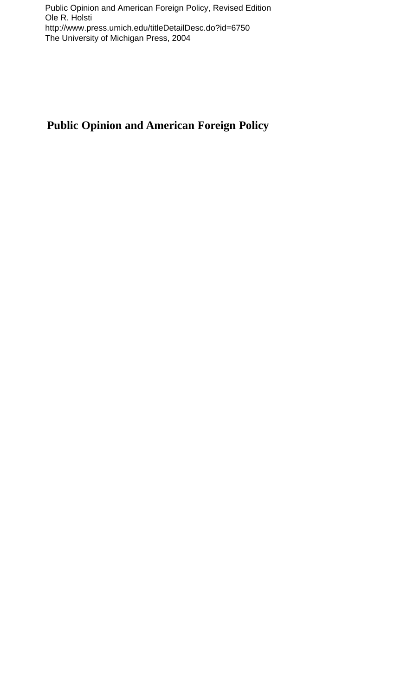## **Public Opinion and American Foreign Policy**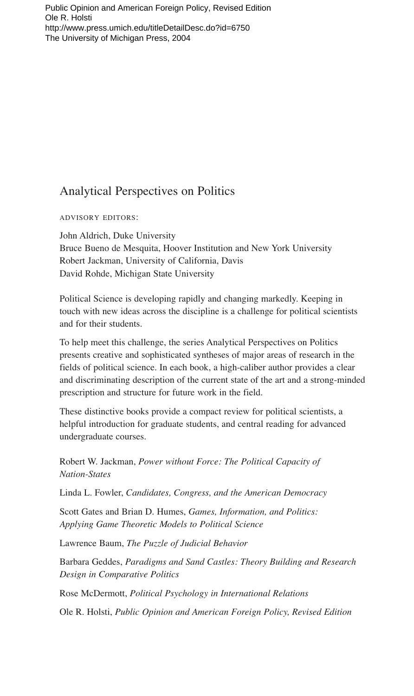## **Analytical Perspectives on Politics**

**ADVISORY EDITORS:** 

John Aldrich, Duke University Bruce Bueno de Mesquita, Hoover Institution and New York University Robert Jackman, University of California, Davis David Rohde, Michigan State University

Political Science is developing rapidly and changing markedly. Keeping in touch with new ideas across the discipline is a challenge for political scientists and for their students.

To help meet this challenge, the series Analytical Perspectives on Politics presents creative and sophisticated syntheses of major areas of research in the fields of political science. In each book, a high-caliber author provides a clear and discriminating description of the current state of the art and a strong-minded prescription and structure for future work in the field.

These distinctive books provide a compact review for political scientists, a helpful introduction for graduate students, and central reading for advanced undergraduate courses.

Robert W. Jackman, Power without Force: The Political Capacity of **Nation-States** 

Linda L. Fowler, Candidates, Congress, and the American Democracy

Scott Gates and Brian D. Humes, Games, Information, and Politics: Applying Game Theoretic Models to Political Science

Lawrence Baum, The Puzzle of Judicial Behavior

Barbara Geddes, Paradigms and Sand Castles: Theory Building and Research Design in Comparative Politics

Rose McDermott, Political Psychology in International Relations

Ole R. Holsti, Public Opinion and American Foreign Policy, Revised Edition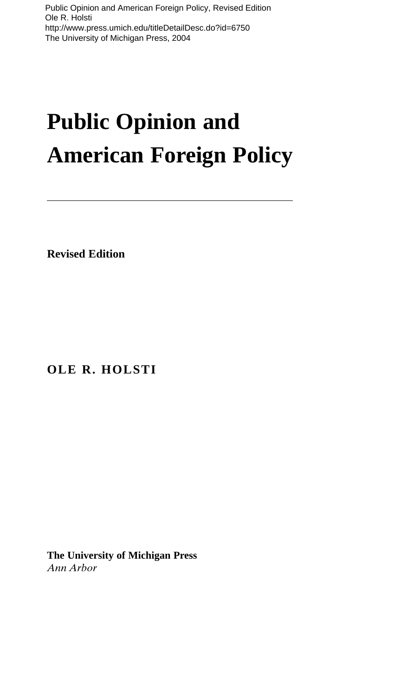## **Public Opinion and American Foreign Policy**

**Revised Edition**

**OLE R. HOLSTI**

**The University of Michigan Press** *Ann Arbor*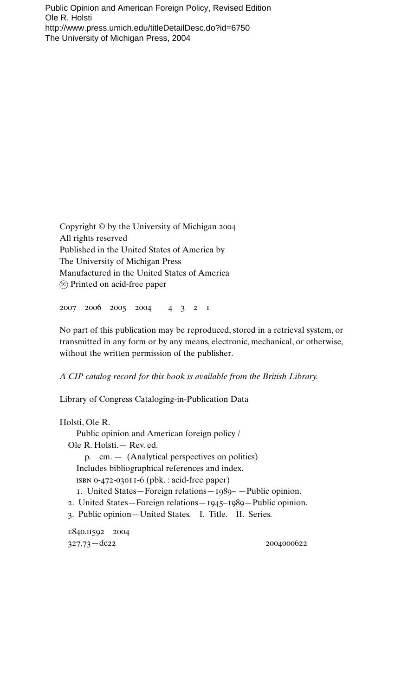Copyright © by the University of Michigan 2004 All rights reserved Published in the United States of America by The University of Michigan Press Manufactured in the United States of America Printed on acid-free paper

2007 2006 2005 2004 4321

No part of this publication may be reproduced, stored in a retrieval system, or transmitted in any form or by any means, electronic, mechanical, or otherwise, without the written permission of the publisher.

*A CIP catalog record for this book is available from the British Library.*

Library of Congress Cataloging-in-Publication Data

Holsti, Ole R. Public opinion and American foreign policy / Ole R. Holsti.— Rev. ed. p. cm. — (Analytical perspectives on politics) Includes bibliographical references and index. isbn 0-472-03011-6 (pbk. : acid-free paper) 1. United States—Foreign relations—1989– —Public opinion. 2. United States—Foreign relations—1945–1989—Public opinion. 3. Public opinion—United States. I. Title. II. Series. e840.h592 2004

327.73—dc22 2004000622